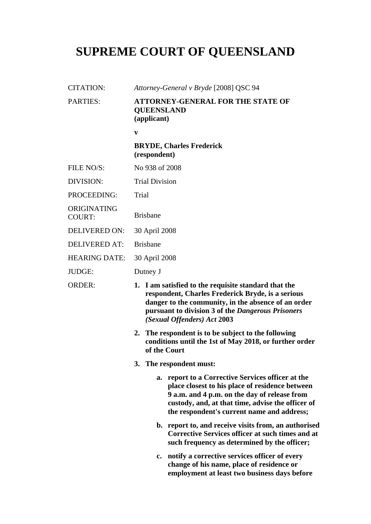## **SUPREME COURT OF QUEENSLAND**

| <b>CITATION:</b>             | Attorney-General v Bryde [2008] QSC 94                                                                                                                                                                                                                     |  |
|------------------------------|------------------------------------------------------------------------------------------------------------------------------------------------------------------------------------------------------------------------------------------------------------|--|
| <b>PARTIES:</b>              | <b>ATTORNEY-GENERAL FOR THE STATE OF</b><br><b>QUEENSLAND</b><br>(applicant)                                                                                                                                                                               |  |
|                              | $\mathbf{v}$                                                                                                                                                                                                                                               |  |
|                              | <b>BRYDE, Charles Frederick</b><br>(respondent)                                                                                                                                                                                                            |  |
| <b>FILE NO/S:</b>            | No 938 of 2008                                                                                                                                                                                                                                             |  |
| <b>DIVISION:</b>             | <b>Trial Division</b>                                                                                                                                                                                                                                      |  |
| PROCEEDING:                  | Trial                                                                                                                                                                                                                                                      |  |
| ORIGINATING<br><b>COURT:</b> | <b>Brisbane</b>                                                                                                                                                                                                                                            |  |
| <b>DELIVERED ON:</b>         | 30 April 2008                                                                                                                                                                                                                                              |  |
| <b>DELIVERED AT:</b>         | <b>Brisbane</b>                                                                                                                                                                                                                                            |  |
| <b>HEARING DATE:</b>         | 30 April 2008                                                                                                                                                                                                                                              |  |
| JUDGE:                       | Dutney J                                                                                                                                                                                                                                                   |  |
| <b>ORDER:</b>                | 1. I am satisfied to the requisite standard that the<br>respondent, Charles Frederick Bryde, is a serious<br>danger to the community, in the absence of an order<br>pursuant to division 3 of the Dangerous Prisoners<br>(Sexual Offenders) Act 2003       |  |
|                              | The respondent is to be subject to the following<br>2.<br>conditions until the 1st of May 2018, or further order<br>of the Court                                                                                                                           |  |
|                              | 3. The respondent must:                                                                                                                                                                                                                                    |  |
|                              | report to a Corrective Services officer at the<br>a.<br>place closest to his place of residence between<br>9 a.m. and 4 p.m. on the day of release from<br>custody, and, at that time, advise the officer of<br>the respondent's current name and address; |  |
|                              | b. report to, and receive visits from, an authorised<br><b>Corrective Services officer at such times and at</b><br>such frequency as determined by the officer;                                                                                            |  |
|                              | c. notify a corrective services officer of every<br>change of his name, place of residence or<br>employment at least two business days before                                                                                                              |  |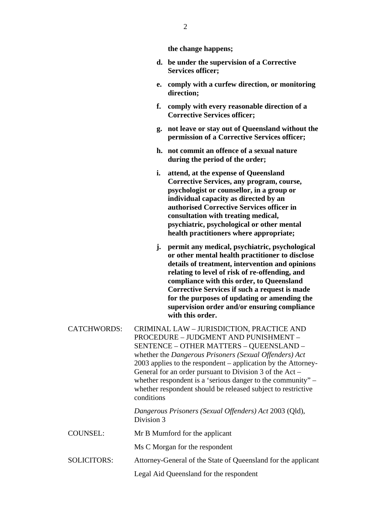| the change happens; |  |
|---------------------|--|
|---------------------|--|

- **d. be under the supervision of a Corrective Services officer;**
- **e. comply with a curfew direction, or monitoring direction;**
- **f. comply with every reasonable direction of a Corrective Services officer;**
- **g. not leave or stay out of Queensland without the permission of a Corrective Services officer;**
- **h. not commit an offence of a sexual nature during the period of the order;**
- **i. attend, at the expense of Queensland Corrective Services, any program, course, psychologist or counsellor, in a group or individual capacity as directed by an authorised Corrective Services officer in consultation with treating medical, psychiatric, psychological or other mental health practitioners where appropriate;**
- **j. permit any medical, psychiatric, psychological or other mental health practitioner to disclose details of treatment, intervention and opinions relating to level of risk of re-offending, and compliance with this order, to Queensland Corrective Services if such a request is made for the purposes of updating or amending the supervision order and/or ensuring compliance with this order.**
- CATCHWORDS: CRIMINAL LAW JURISDICTION, PRACTICE AND PROCEDURE – JUDGMENT AND PUNISHMENT – SENTENCE – OTHER MATTERS – QUEENSLAND – whether the *Dangerous Prisoners (Sexual Offenders) Act*  2003 applies to the respondent – application by the Attorney-General for an order pursuant to Division 3 of the Act – whether respondent is a 'serious danger to the community" – whether respondent should be released subject to restrictive conditions

*Dangerous Prisoners (Sexual Offenders) Act* 2003 (Qld), Division 3

COUNSEL: Mr B Mumford for the applicant

Ms C Morgan for the respondent

SOLICITORS: Attorney-General of the State of Queensland for the applicant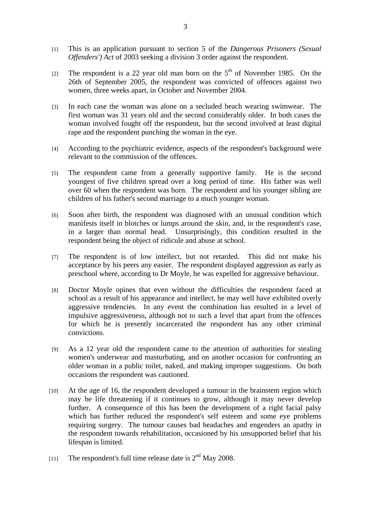- [1] This is an application pursuant to section 5 of the *Dangerous Prisoners (Sexual Offenders') Act* of 2003 seeking a division 3 order against the respondent.
- [2] The respondent is a 22 year old man born on the  $5<sup>th</sup>$  of November 1985. On the 26th of September 2005, the respondent was convicted of offences against two women, three weeks apart, in October and November 2004.
- [3] In each case the woman was alone on a secluded beach wearing swimwear. The first woman was 31 years old and the second considerably older. In both cases the woman involved fought off the respondent, but the second involved at least digital rape and the respondent punching the woman in the eye.
- [4] According to the psychiatric evidence, aspects of the respondent's background were relevant to the commission of the offences.
- [5] The respondent came from a generally supportive family. He is the second youngest of five children spread over a long period of time. His father was well over 60 when the respondent was born. The respondent and his younger sibling are children of his father's second marriage to a much younger woman.
- [6] Soon after birth, the respondent was diagnosed with an unusual condition which manifests itself in blotches or lumps around the skin, and, in the respondent's case, in a larger than normal head. Unsurprisingly, this condition resulted in the respondent being the object of ridicule and abuse at school.
- [7] The respondent is of low intellect, but not retarded. This did not make his acceptance by his peers any easier. The respondent displayed aggression as early as preschool where, according to Dr Moyle, he was expelled for aggressive behaviour.
- [8] Doctor Moyle opines that even without the difficulties the respondent faced at school as a result of his appearance and intellect, he may well have exhibited overly aggressive tendencies. In any event the combination has resulted in a level of impulsive aggressiveness, although not to such a level that apart from the offences for which he is presently incarcerated the respondent has any other criminal convictions.
- [9] As a 12 year old the respondent came to the attention of authorities for stealing women's underwear and masturbating, and on another occasion for confronting an older woman in a public toilet, naked, and making improper suggestions. On both occasions the respondent was cautioned.
- [10] At the age of 16, the respondent developed a tumour in the brainstem region which may be life threatening if it continues to grow, although it may never develop further. A consequence of this has been the development of a right facial palsy which has further reduced the respondent's self esteem and some eye problems requiring surgery. The tumour causes bad headaches and engenders an apathy in the respondent towards rehabilitation, occasioned by his unsupported belief that his lifespan is limited.
- [11] The respondent's full time release date is  $2<sup>nd</sup>$  May 2008.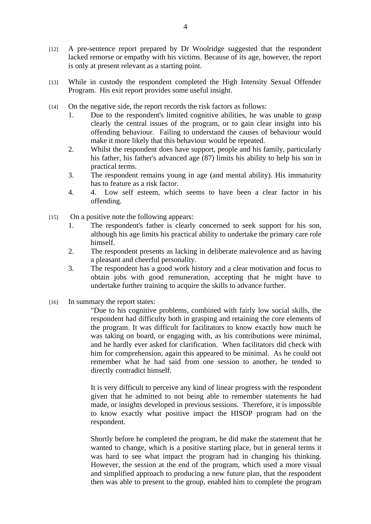- [12] A pre-sentence report prepared by Dr Woolridge suggested that the respondent lacked remorse or empathy with his victims. Because of its age, however, the report is only at present relevant as a starting point.
- [13] While in custody the respondent completed the High Intensity Sexual Offender Program. His exit report provides some useful insight.
- [14] On the negative side, the report records the risk factors as follows:
	- 1. Due to the respondent's limited cognitive abilities, he was unable to grasp clearly the central issues of the program, or to gain clear insight into his offending behaviour. Failing to understand the causes of behaviour would make it more likely that this behaviour would be repeated.
	- 2. Whilst the respondent does have support, people and his family, particularly his father, his father's advanced age (87) limits his ability to help his son in practical terms.
	- 3. The respondent remains young in age (and mental ability). His immaturity has to feature as a risk factor.
	- 4. 4. Low self esteem, which seems to have been a clear factor in his offending.
- [15] On a positive note the following appears:
	- 1. The respondent's father is clearly concerned to seek support for his son, although his age limits his practical ability to undertake the primary care role himself.
	- 2. The respondent presents as lacking in deliberate malevolence and as having a pleasant and cheerful personality.
	- 3. The respondent has a good work history and a clear motivation and focus to obtain jobs with good remuneration, accepting that he might have to undertake further training to acquire the skills to advance further.
- [16] In summary the report states:

"Due to his cognitive problems, combined with fairly low social skills, the respondent had difficulty both in grasping and retaining the core elements of the program. It was difficult for facilitators to know exactly how much he was taking on board, or engaging with, as his contributions were minimal, and he hardly ever asked for clarification. When facilitators did check with him for comprehension, again this appeared to be minimal. As he could not remember what he had said from one session to another, he tended to directly contradict himself.

It is very difficult to perceive any kind of linear progress with the respondent given that he admitted to not being able to remember statements he had made, or insights developed in previous sessions. Therefore, it is impossible to know exactly what positive impact the HISOP program had on the respondent.

Shortly before he completed the program, he did make the statement that he wanted to change, which is a positive starting place, but in general terms it was hard to see what impact the program had in changing his thinking. However, the session at the end of the program, which used a more visual and simplified approach to producing a new future plan, that the respondent then was able to present to the group, enabled him to complete the program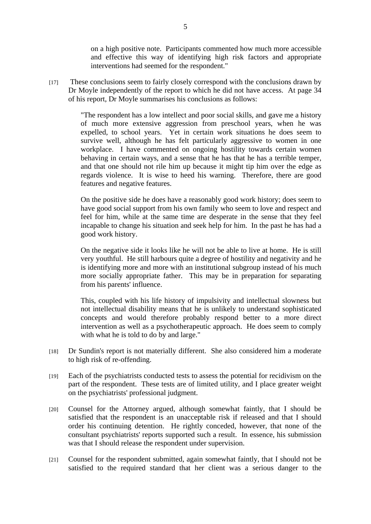on a high positive note. Participants commented how much more accessible and effective this way of identifying high risk factors and appropriate interventions had seemed for the respondent."

[17] These conclusions seem to fairly closely correspond with the conclusions drawn by Dr Moyle independently of the report to which he did not have access. At page 34 of his report, Dr Moyle summarises his conclusions as follows:

> "The respondent has a low intellect and poor social skills, and gave me a history of much more extensive aggression from preschool years, when he was expelled, to school years. Yet in certain work situations he does seem to survive well, although he has felt particularly aggressive to women in one workplace. I have commented on ongoing hostility towards certain women behaving in certain ways, and a sense that he has that he has a terrible temper, and that one should not rile him up because it might tip him over the edge as regards violence. It is wise to heed his warning. Therefore, there are good features and negative features.

> On the positive side he does have a reasonably good work history; does seem to have good social support from his own family who seem to love and respect and feel for him, while at the same time are desperate in the sense that they feel incapable to change his situation and seek help for him. In the past he has had a good work history.

> On the negative side it looks like he will not be able to live at home. He is still very youthful. He still harbours quite a degree of hostility and negativity and he is identifying more and more with an institutional subgroup instead of his much more socially appropriate father. This may be in preparation for separating from his parents' influence.

> This, coupled with his life history of impulsivity and intellectual slowness but not intellectual disability means that he is unlikely to understand sophisticated concepts and would therefore probably respond better to a more direct intervention as well as a psychotherapeutic approach. He does seem to comply with what he is told to do by and large."

- [18] Dr Sundin's report is not materially different. She also considered him a moderate to high risk of re-offending.
- [19] Each of the psychiatrists conducted tests to assess the potential for recidivism on the part of the respondent. These tests are of limited utility, and I place greater weight on the psychiatrists' professional judgment.
- [20] Counsel for the Attorney argued, although somewhat faintly, that I should be satisfied that the respondent is an unacceptable risk if released and that I should order his continuing detention. He rightly conceded, however, that none of the consultant psychiatrists' reports supported such a result. In essence, his submission was that I should release the respondent under supervision.
- [21] Counsel for the respondent submitted, again somewhat faintly, that I should not be satisfied to the required standard that her client was a serious danger to the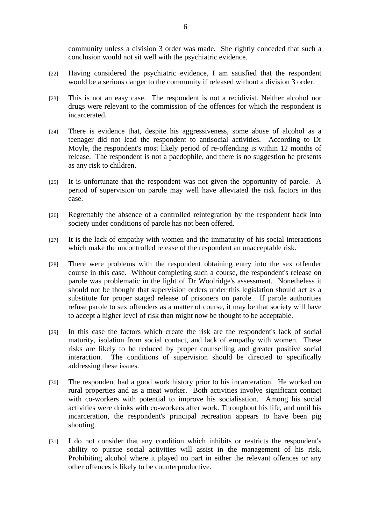community unless a division 3 order was made. She rightly conceded that such a conclusion would not sit well with the psychiatric evidence.

- [22] Having considered the psychiatric evidence, I am satisfied that the respondent would be a serious danger to the community if released without a division 3 order.
- [23] This is not an easy case. The respondent is not a recidivist. Neither alcohol nor drugs were relevant to the commission of the offences for which the respondent is incarcerated.
- [24] There is evidence that, despite his aggressiveness, some abuse of alcohol as a teenager did not lead the respondent to antisocial activities. According to Dr Moyle, the respondent's most likely period of re-offending is within 12 months of release. The respondent is not a paedophile, and there is no suggestion he presents as any risk to children.
- [25] It is unfortunate that the respondent was not given the opportunity of parole. A period of supervision on parole may well have alleviated the risk factors in this case.
- [26] Regrettably the absence of a controlled reintegration by the respondent back into society under conditions of parole has not been offered.
- [27] It is the lack of empathy with women and the immaturity of his social interactions which make the uncontrolled release of the respondent an unacceptable risk.
- [28] There were problems with the respondent obtaining entry into the sex offender course in this case. Without completing such a course, the respondent's release on parole was problematic in the light of Dr Woolridge's assessment. Nonetheless it should not be thought that supervision orders under this legislation should act as a substitute for proper staged release of prisoners on parole. If parole authorities refuse parole to sex offenders as a matter of course, it may be that society will have to accept a higher level of risk than might now be thought to be acceptable.
- [29] In this case the factors which create the risk are the respondent's lack of social maturity, isolation from social contact, and lack of empathy with women. These risks are likely to be reduced by proper counselling and greater positive social interaction. The conditions of supervision should be directed to specifically addressing these issues.
- [30] The respondent had a good work history prior to his incarceration. He worked on rural properties and as a meat worker. Both activities involve significant contact with co-workers with potential to improve his socialisation. Among his social activities were drinks with co-workers after work. Throughout his life, and until his incarceration, the respondent's principal recreation appears to have been pig shooting.
- [31] I do not consider that any condition which inhibits or restricts the respondent's ability to pursue social activities will assist in the management of his risk. Prohibiting alcohol where it played no part in either the relevant offences or any other offences is likely to be counterproductive.